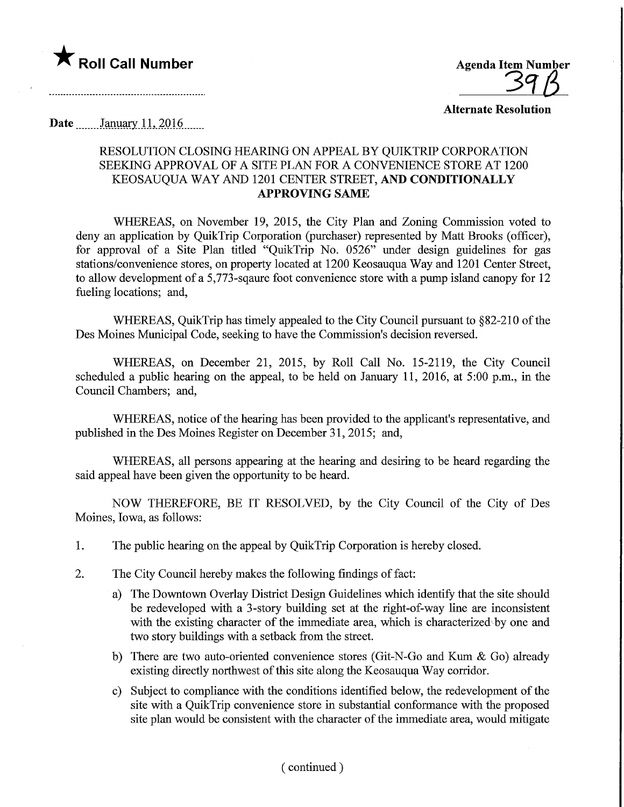

Alternate Resolution

Date January 11, 2016

## RESOLUTION CLOSING HEARING ON APPEAL BY QUIKTRIP CORPORATION SEEKING APPROVAL OF A SITE PLAN FOR A CONVENIENCE STORE AT 1200 KEOSAUQUA WAY AND 1201 CENTER STREET, AND CONDITIONALLY APPROVING SAME

WHEREAS, on November 19, 2015, the City Plan and Zoning Commission voted to deny an application by QuikTrip Corporation (purchaser) represented by Matt Brooks (officer), for approval of a Site Plan titled "QuikTrip No. 0526" under design guidelines for gas stations/convenience stores, on property located at 1200 Keosauqua Way and 1201 Center Street, to allow development of a 5,773-sqaure foot convenience store with a pump island canopy for 12 fueling locations; and,

WHEREAS, QuikTrip has timely appealed to the City Council pursuant to §82-210 of the Des Moines Municipal Code, seeking to have the Commission's decision reversed.

WHEREAS, on December 21, 2015, by Roll Call No. 15-2119, the City Council scheduled a public hearing on the appeal, to be held on January 11, 2016, at 5:00 p.m., in the Council Chambers; and,

WHEREAS, notice of the hearing has been provided to the applicant's representative, and published in the Des Moines Register on December 31, 2015; and,

WHEREAS, all persons appearing at the hearing and desiring to be heard regarding the said appeal have been given the opportunity to be heard.

NOW THEREFORE, BE IT RESOLVED, by the City Council of the City of Des Moines, Iowa, as follows:

- 1. The public hearing on the appeal by QuikTrip Corporation is hereby closed.
- 2. The City Council hereby makes the following findings of fact:
	- a) The Downtown Overlay District Design Guidelines which identify that the site should be redeveloped with a 3-story building set at the right-of-way line are inconsistent with the existing character of the immediate area, which is characterized by one and two story buildings with a setback from the street.
	- b) There are two auto-oriented convenience stores (Git-N-Go and Kum & Go) already existing directly northwest of this site along the Keosauqua Way corridor.
	- c) Subject to compliance with the conditions identified below, the redevelopment of the site with a QuikTrip convenience store in substantial confonnance with the proposed site plan would be consistent with the character of the immediate area, would mitigate

( continued )